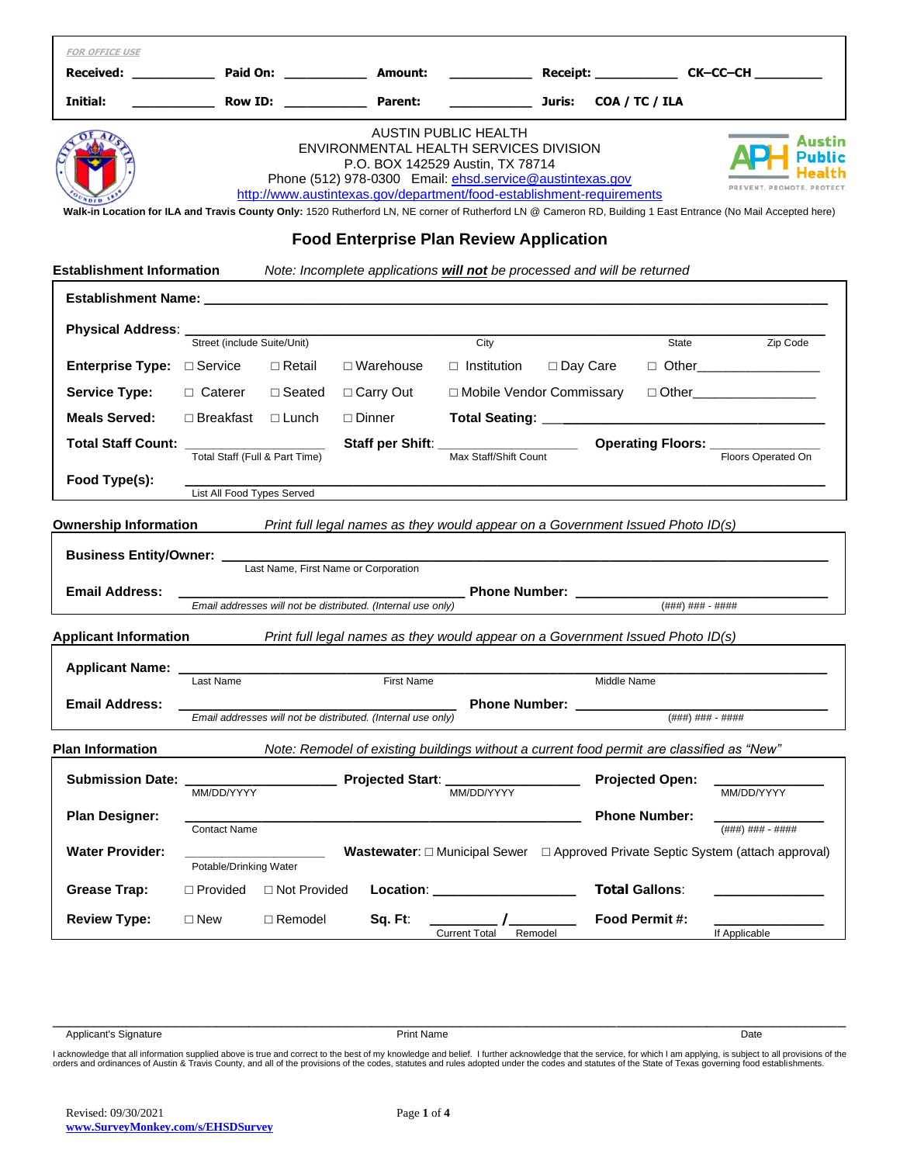| <b>FOR OFFICE USE</b>                                                                                                                                                                                                                                                                                                                                                                                            |                               |                                      |                                                              |                                                                                           |            |                        |                     |                                                    |
|------------------------------------------------------------------------------------------------------------------------------------------------------------------------------------------------------------------------------------------------------------------------------------------------------------------------------------------------------------------------------------------------------------------|-------------------------------|--------------------------------------|--------------------------------------------------------------|-------------------------------------------------------------------------------------------|------------|------------------------|---------------------|----------------------------------------------------|
| Received:                                                                                                                                                                                                                                                                                                                                                                                                        |                               |                                      |                                                              |                                                                                           |            |                        |                     |                                                    |
| Initial:                                                                                                                                                                                                                                                                                                                                                                                                         |                               |                                      | Row ID: Parent:                                              | <u>Juris: Juris:</u>                                                                      |            | COA / TC / ILA         |                     |                                                    |
| <b>AUSTIN PUBLIC HEALTH</b><br>ENVIRONMENTAL HEALTH SERVICES DIVISION<br>P.O. BOX 142529 Austin, TX 78714<br>Phone (512) 978-0300 Email: ehsd.service@austintexas.gov<br>http://www.austintexas.gov/department/food-establishment-requirements<br>Walk-in Location for ILA and Travis County Only: 1520 Rutherford LN, NE corner of Rutherford LN @ Cameron RD, Building 1 East Entrance (No Mail Accepted here) |                               |                                      |                                                              |                                                                                           |            |                        |                     |                                                    |
| <b>Food Enterprise Plan Review Application</b><br><b>Establishment Information</b><br>Note: Incomplete applications will not be processed and will be returned                                                                                                                                                                                                                                                   |                               |                                      |                                                              |                                                                                           |            |                        |                     |                                                    |
|                                                                                                                                                                                                                                                                                                                                                                                                                  |                               |                                      |                                                              |                                                                                           |            |                        |                     |                                                    |
| <b>Physical Address:</b>                                                                                                                                                                                                                                                                                                                                                                                         |                               |                                      |                                                              |                                                                                           |            |                        |                     |                                                    |
|                                                                                                                                                                                                                                                                                                                                                                                                                  | Street (include Suite/Unit)   |                                      |                                                              | City                                                                                      |            |                        | State               | Zip Code                                           |
| <b>Enterprise Type:</b> $\Box$ Service                                                                                                                                                                                                                                                                                                                                                                           |                               | $\Box$ Retail                        | $\Box$ Warehouse                                             | $\Box$ Institution                                                                        | □ Day Care |                        |                     | $\Box$ Other__________________                     |
| <b>Service Type:</b>                                                                                                                                                                                                                                                                                                                                                                                             | $\Box$ Caterer $\Box$ Seated  |                                      | □ Carry Out                                                  | □ Mobile Vendor Commissary                                                                |            |                        |                     | □ Other_____________________                       |
| <b>Meals Served:</b>                                                                                                                                                                                                                                                                                                                                                                                             | $\Box$ Breakfast $\Box$ Lunch |                                      | $\sqcap$ Dinner                                              |                                                                                           |            |                        |                     |                                                    |
| <b>Total Staff Count:</b>                                                                                                                                                                                                                                                                                                                                                                                        |                               | Total Staff (Full & Part Time)       |                                                              | Staff per Shift: ____________________<br>Max Staff/Shift Count                            |            |                        |                     | <b>Operating Floors:</b> Floors Operated On        |
| Food Type(s):                                                                                                                                                                                                                                                                                                                                                                                                    | List All Food Types Served    |                                      |                                                              |                                                                                           |            |                        |                     |                                                    |
| <b>Ownership Information</b>                                                                                                                                                                                                                                                                                                                                                                                     |                               |                                      |                                                              | Print full legal names as they would appear on a Government Issued Photo ID(s)            |            |                        |                     |                                                    |
| <b>Business Entity/Owner:</b>                                                                                                                                                                                                                                                                                                                                                                                    |                               | Last Name, First Name or Corporation |                                                              |                                                                                           |            |                        |                     |                                                    |
| <b>Email Address:</b>                                                                                                                                                                                                                                                                                                                                                                                            |                               |                                      | Email addresses will not be distributed. (Internal use only) | Phone Number: __________                                                                  |            |                        | $($ ###) ### - #### |                                                    |
| Print full legal names as they would appear on a Government Issued Photo ID(s)<br><b>Applicant Information</b>                                                                                                                                                                                                                                                                                                   |                               |                                      |                                                              |                                                                                           |            |                        |                     |                                                    |
| <b>Applicant Name:</b>                                                                                                                                                                                                                                                                                                                                                                                           |                               |                                      |                                                              |                                                                                           |            |                        |                     |                                                    |
|                                                                                                                                                                                                                                                                                                                                                                                                                  | Last Name                     |                                      | <b>First Name</b>                                            |                                                                                           |            | Middle Name            |                     |                                                    |
| <b>Email Address:</b>                                                                                                                                                                                                                                                                                                                                                                                            |                               |                                      | Email addresses will not be distributed. (Internal use only) | <b>Phone Number:</b>                                                                      |            |                        | (###) ### - ####    |                                                    |
| <b>Plan Information</b>                                                                                                                                                                                                                                                                                                                                                                                          |                               |                                      |                                                              | Note: Remodel of existing buildings without a current food permit are classified as "New" |            |                        |                     |                                                    |
| <b>Submission Date:</b>                                                                                                                                                                                                                                                                                                                                                                                          | MM/DD/YYYY                    |                                      | Projected Start:                                             | MM/DD/YYYY                                                                                |            | <b>Projected Open:</b> |                     | MM/DD/YYYY                                         |
| <b>Plan Designer:</b>                                                                                                                                                                                                                                                                                                                                                                                            | <b>Contact Name</b>           |                                      |                                                              |                                                                                           |            | <b>Phone Number:</b>   |                     | $(\# \# \#) \# \# \# \dashv \# \# \# \#$           |
| <b>Water Provider:</b>                                                                                                                                                                                                                                                                                                                                                                                           | Potable/Drinking Water        |                                      | <b>Wastewater:</b> $\Box$ Municipal Sewer                    |                                                                                           |            |                        |                     | □ Approved Private Septic System (attach approval) |
| <b>Grease Trap:</b>                                                                                                                                                                                                                                                                                                                                                                                              | $\Box$ Provided               | □ Not Provided                       | Location:                                                    |                                                                                           |            | <b>Total Gallons:</b>  |                     |                                                    |
| <b>Review Type:</b>                                                                                                                                                                                                                                                                                                                                                                                              | $\square$ New                 | □ Remodel                            | Sq. Ft:                                                      | <b>Current Total</b><br>Remodel                                                           |            | Food Permit #:         |                     | If Applicable                                      |
|                                                                                                                                                                                                                                                                                                                                                                                                                  |                               |                                      |                                                              |                                                                                           |            |                        |                     |                                                    |

Applicant's Signature Print Name Date

l acknowledge that all information supplied above is true and correct to the best of my knowledge and belief. I further acknowledge that the service, for which I am applying, is subject to all provisions of the<br>orders and

\_\_\_\_\_\_\_\_\_\_\_\_\_\_\_\_\_\_\_\_\_\_\_\_\_\_\_\_\_\_\_\_\_\_\_\_\_\_\_\_\_\_\_\_\_\_\_\_\_\_\_\_\_\_\_\_\_\_\_\_\_\_\_\_\_\_\_\_\_\_\_\_\_\_\_\_\_\_\_\_\_\_\_\_\_\_\_\_\_\_\_\_\_\_\_\_\_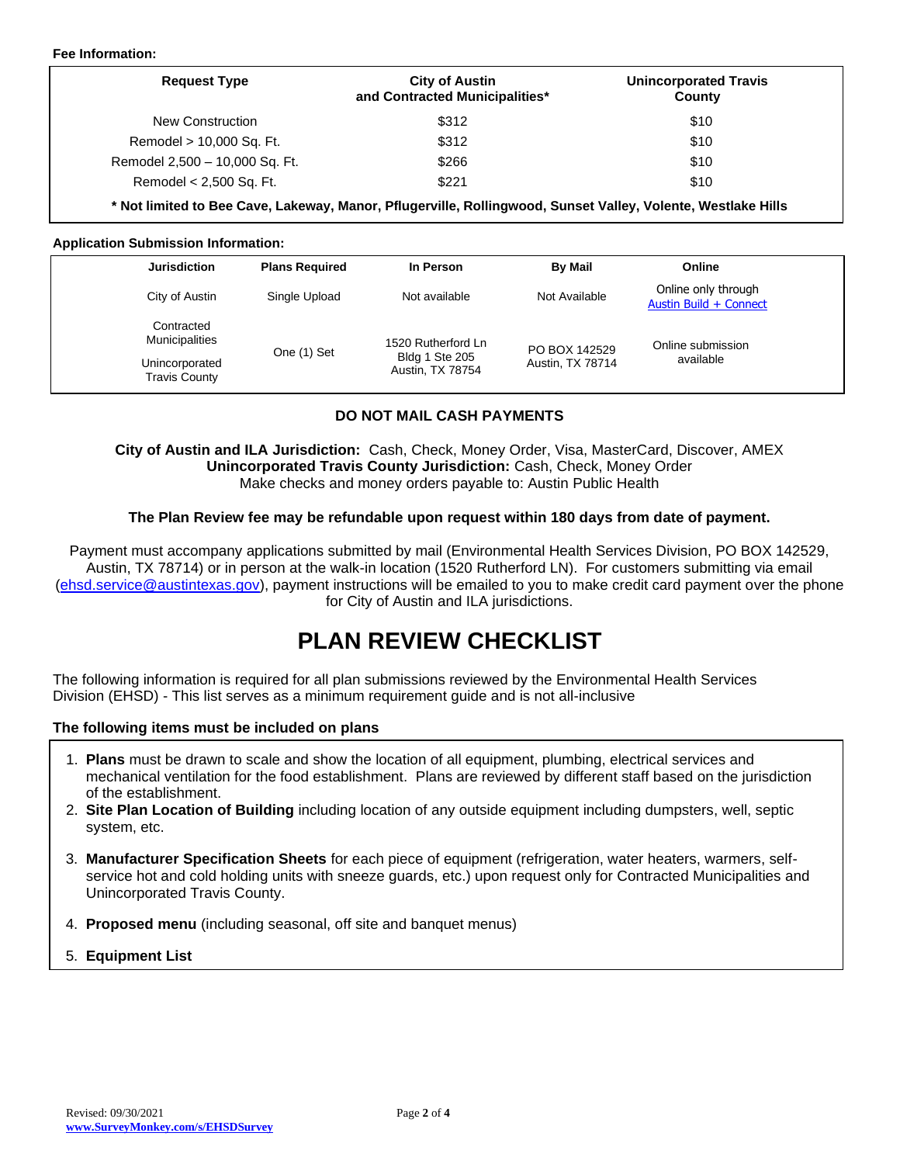### **Fee Information:**

| <b>Request Type</b>            | <b>City of Austin</b><br>and Contracted Municipalities* | <b>Unincorporated Travis</b><br>County |  |
|--------------------------------|---------------------------------------------------------|----------------------------------------|--|
| New Construction               | \$312                                                   | \$10                                   |  |
| Remodel > 10,000 Sq. Ft.       | \$312                                                   | \$10                                   |  |
| Remodel 2,500 - 10,000 Sq. Ft. | \$266                                                   | \$10                                   |  |
| Remodel < 2,500 Sq. Ft.        | \$221                                                   | \$10                                   |  |

**\* Not limited to Bee Cave, Lakeway, Manor, Pflugerville, Rollingwood, Sunset Valley, Volente, Westlake Hills**

### **Application Submission Information:**

| <b>Jurisdiction</b>                    | <b>Plans Required</b> | In Person                          | <b>By Mail</b>   | Online                                        |  |
|----------------------------------------|-----------------------|------------------------------------|------------------|-----------------------------------------------|--|
| City of Austin                         | Single Upload         | Not available                      | Not Available    | Online only through<br>Austin Build + Connect |  |
| Contracted<br><b>Municipalities</b>    |                       | 1520 Rutherford Ln                 | PO BOX 142529    | Online submission                             |  |
| Unincorporated<br><b>Travis County</b> | One (1) Set           | Bldg 1 Ste 205<br>Austin, TX 78754 | Austin, TX 78714 | available                                     |  |

## **DO NOT MAIL CASH PAYMENTS**

**City of Austin and ILA Jurisdiction:** Cash, Check, Money Order, Visa, MasterCard, Discover, AMEX **Unincorporated Travis County Jurisdiction:** Cash, Check, Money Order Make checks and money orders payable to: Austin Public Health

### **The Plan Review fee may be refundable upon request within 180 days from date of payment.**

Payment must accompany applications submitted by mail (Environmental Health Services Division, PO BOX 142529, Austin, TX 78714) or in person at the walk-in location (1520 Rutherford LN). For customers submitting via email [\(ehsd.service@austintexas.gov\)](mailto:ehsd.service@austintexas.gov), payment instructions will be emailed to you to make credit card payment over the phone for City of Austin and ILA jurisdictions.

# **PLAN REVIEW CHECKLIST**

The following information is required for all plan submissions reviewed by the Environmental Health Services Division (EHSD) - This list serves as a minimum requirement guide and is not all-inclusive

### **The following items must be included on plans**

- 1. **Plans** must be drawn to scale and show the location of all equipment, plumbing, electrical services and mechanical ventilation for the food establishment. Plans are reviewed by different staff based on the jurisdiction of the establishment.
- 2. **Site Plan Location of Building** including location of any outside equipment including dumpsters, well, septic system, etc.
- 3. **Manufacturer Specification Sheets** for each piece of equipment (refrigeration, water heaters, warmers, selfservice hot and cold holding units with sneeze guards, etc.) upon request only for Contracted Municipalities and Unincorporated Travis County.
- 4. **Proposed menu** (including seasonal, off site and banquet menus)
- 5. **Equipment List**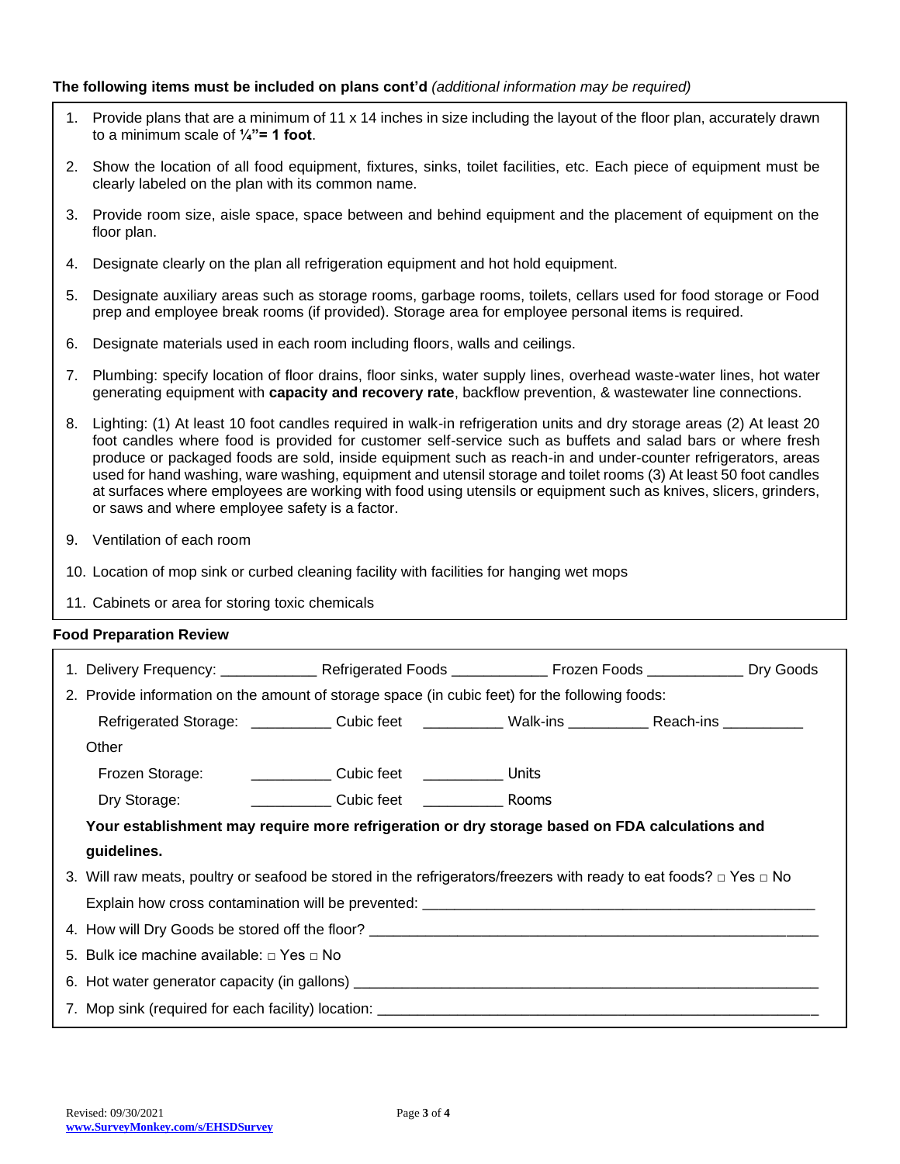## **The following items must be included on plans cont'd** *(additional information may be required)*

- 1. Provide plans that are a minimum of 11 x 14 inches in size including the layout of the floor plan, accurately drawn to a minimum scale of **¼"= 1 foot**.
- 2. Show the location of all food equipment, fixtures, sinks, toilet facilities, etc. Each piece of equipment must be clearly labeled on the plan with its common name.
- 3. Provide room size, aisle space, space between and behind equipment and the placement of equipment on the floor plan.
- 4. Designate clearly on the plan all refrigeration equipment and hot hold equipment.
- 5. Designate auxiliary areas such as storage rooms, garbage rooms, toilets, cellars used for food storage or Food prep and employee break rooms (if provided). Storage area for employee personal items is required.
- 6. Designate materials used in each room including floors, walls and ceilings.
- 7. Plumbing: specify location of floor drains, floor sinks, water supply lines, overhead waste-water lines, hot water generating equipment with **capacity and recovery rate**, backflow prevention, & wastewater line connections.
- 8. Lighting: (1) At least 10 foot candles required in walk-in refrigeration units and dry storage areas (2) At least 20 foot candles where food is provided for customer self-service such as buffets and salad bars or where fresh produce or packaged foods are sold, inside equipment such as reach-in and under-counter refrigerators, areas used for hand washing, ware washing, equipment and utensil storage and toilet rooms (3) At least 50 foot candles at surfaces where employees are working with food using utensils or equipment such as knives, slicers, grinders, or saws and where employee safety is a factor.
- 9. Ventilation of each room
- 10. Location of mop sink or curbed cleaning facility with facilities for hanging wet mops
- 11. Cabinets or area for storing toxic chemicals

## **Food Preparation Review**

| 1. Delivery Frequency: _______________Refrigerated Foods _________________Frozen Foods ______________Dry Goods              |  |  |  |  |  |  |
|-----------------------------------------------------------------------------------------------------------------------------|--|--|--|--|--|--|
| 2. Provide information on the amount of storage space (in cubic feet) for the following foods:                              |  |  |  |  |  |  |
| Refrigerated Storage: ______________ Cubic feet _______________ Walk-ins ____________ Reach-ins __________                  |  |  |  |  |  |  |
| Other                                                                                                                       |  |  |  |  |  |  |
| Frozen Storage: __________________ Cubic feet _______________ Units                                                         |  |  |  |  |  |  |
|                                                                                                                             |  |  |  |  |  |  |
| Your establishment may require more refrigeration or dry storage based on FDA calculations and                              |  |  |  |  |  |  |
| guidelines.                                                                                                                 |  |  |  |  |  |  |
| 3. Will raw meats, poultry or seafood be stored in the refrigerators/freezers with ready to eat foods? $\Box$ Yes $\Box$ No |  |  |  |  |  |  |
|                                                                                                                             |  |  |  |  |  |  |
| 4. How will Dry Goods be stored off the floor? __________________________________                                           |  |  |  |  |  |  |
| 5. Bulk ice machine available: $\Box$ Yes $\Box$ No                                                                         |  |  |  |  |  |  |
|                                                                                                                             |  |  |  |  |  |  |
|                                                                                                                             |  |  |  |  |  |  |